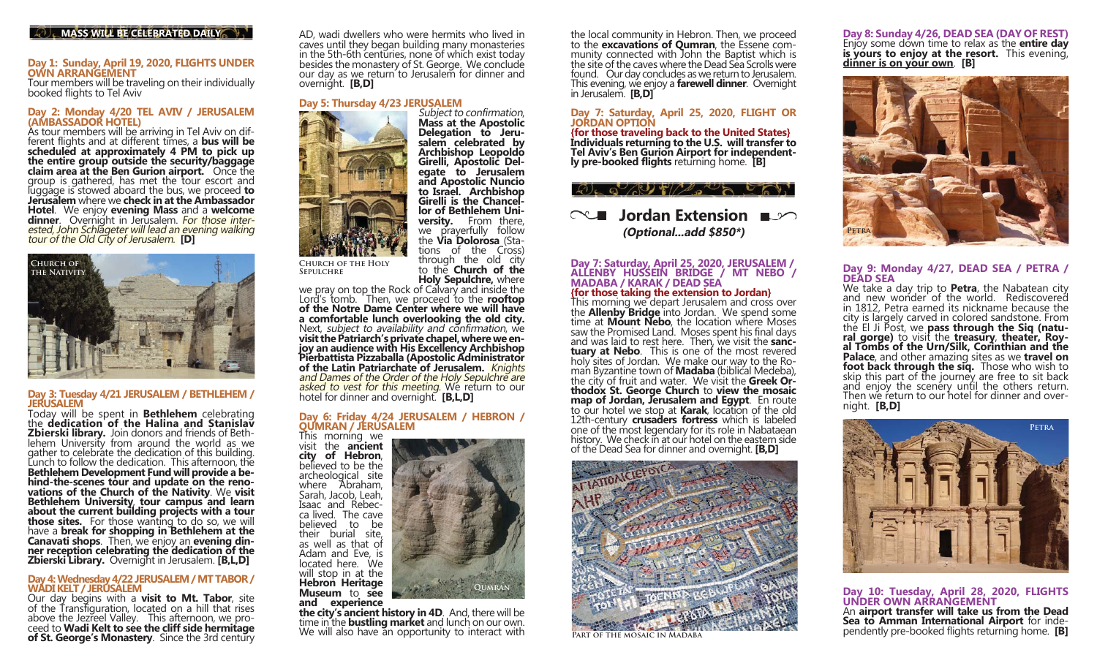#### **MASS WILL BE CELEBRATED DAILY**

# **Day 1: Sunday, April 19, 2020, FLIGHTS UNDER OWN ARRANGEMENT**

Tour members will be traveling on their individually booked flights to Tel Aviv

Day 2: Monday 4/20 TEL AVIV / JERUSALEM<br>(AMBASSADOR HOTEL)<br>As tour members will be arriving in Tel Aviv on dif-<br>ferent flights and at different times, a bus will be<br>scheduled at approximately 4 PM to pick up<br>the entire gro Hotel. We enjoy evening Mass and a welcome **Hotell**. Overnight in Jerusalem. For those inter-<br>ested, John Schlageter will lead an evening walking<br>tour of the Old City of Jerusalem. **[D]** 



# **Day 3: Tuesday 4/21 JERUSALEM / BETHLEHEM / JERUSALEM**

 Today will be spent in **Bethlehem** celebrating the **dedication of the Halina and Stanislav** the **dedication of the Halina and Stanislav**<br>**Zbierski library.** Join donors and friends of Bethlehem University from around the world as we gather to celebrate the dedication of this building.<br>Lunch to follow the dedication. This afternoon, the **Bethlehem Development Fund will provide a be**hind-the-scenes tour and update on the reno-<br>vations of the Church of the Nativity. We visit<br>Bethlehem University, tour campus and learn<br>about the current building projects with a tour<br>those sites. For those wanting to do

# **Day 4: Wednesday 4/22 JERUSALEM / MT TABOR / WADI KELT / JERUSALEM**<br>Our day begins with a **visit to Mt. Tabor**, site

of the Transfiguration, located on a hill that rises<br>above the Jezreel Valley. This afternoon, we pro-<br>ceed to **Wadi Kelt to see the cliff side hermitage**<br>of **St. George's Monastery**. Since the 3rd century

AD, wadi dwellers who were hermits who lived in caves until they began building many monasteries in the 5th-6th centuries, none of which exist today besides the monastery of St. George. We conclude our day as we return to Jerusalem for dinner and overnight. **[B,D]** 

**lor of Bethlehem Uni-**

**versity.** From there, we prayerfully follow the **Via Dolorosa** (Sta-<br>tions of the Cross) through the old city

to the **Church of the** Holy Sepulchre, where

**Qumran**



**Church of the Holy Sepulchre**

**Holy Sepulchre,** where we pray on top the Rock of Calvary and inside the Lord's tomb. Then, we proceed to the **rooftop of the Notre Dame Center where we will have a comfortable lunch overlooking the old city.**<br>Next, *subject* to *availability and confirmation*, we visit the Patriarch's private chapel, where we en-<br>joy an audience with His Excellency Archbishop<br>Pierbattista Pizzaballa (Apostolic Administrator<br>of the Latin Patriarchate of Jerusalem. Knights<br>and Dames of the Order of t

# **Day 6: Friday 4/24 JERUSALEM / HEBRON /<br><b>QUMRAN / JERUSALEM**<br>This morning we visit the **ancient**

city of Hebron, believed to be the archeological site where Abraham, Sarah, Jacob, Leah, Isaac and Rebecca lived. The cave believed to be their burial site, as well as that of Adam and Eve, is located here. We will stop in at the **Hebron Heritage Museum** to **see** 

## and experience

**the city's ancient history in 4D**. And, there will be time in the **bustling market** and lunch on our own. We will also have an opportunity to interact with

the local community in Hebron. Then, we proceed to the **excavations of Qumran**, the Essene com-<br>munity connected with John the Baptist which is<br>the site of the caves where the Dead Sea Scrolls were found. Our day concludes as we return to Jerusalem. This evening, we enjoy a **farewell dinner**. Overnight in Jerusalem. **[B,D]** 

# **Day 7: Saturday, April 25, 2020, FLIGHT OR JORDAN OPTION**

{for those traveling back to the United States} **{for those traveling back to the United States} Individuals returning to the U.S. will transfer to Tel Aviv's Ben Gurion Airport for independent- ly pre-booked flights** returning home. **[B]**

#### $Q_{\rm L}$  o  $Q_{\rm R}$

## **Nordan Extension (Optional...add \$850\*)**

# **Day 7: Saturday, April 25, 2020, JERUSALEM / ALLENBY HUSSEIN BRIDGE / MT NEBO / MADABA / KARAK / DEAD SEA**

**This morning we depart Jerusalem and cross over the Allenby Bridge** into Jordan. We spend some time at **Mount Nebo**, the location where Moses saw the Promised Land. Moses spent his final days and was laid to rest here. Then, we visit the **sanctuary at Nebo**. This is one of the most revered holy sites of Jordan. We make our way to the Roman Byzantine town of **Madaba** (biblical Medeba), the city of fruit and water. We visit the **Greek Orthodox St. George Church** to **view the mosaic map of Jordan, Jerusalem and** 



**Part of the mosaic in Madaba**

**Day 8: Sunday 4/26, DEAD SEA (DAY OF REST)** Enjoy some down time to relax as the **entire day is yours to enjoy at the resort.** This evening, **dinner is on your own**. **[B]**



# **Day 9: Monday 4/27, DEAD SEA / PETRA / DEAD SEA**

We take a day trip to **Petra**, the Nabatean city and new wonder of the world. Rediscovered in 1812, Petra earned its nickname because the city is largely carved in colored sandstone. From<br>the El Ji Post, we **pass through the Siq (natu-**<br>**ral gorge)** to visit the **treasury**, **theater, Roy-**<br>**al Tombs of the Urn/Silk, Corinthian and the<br><b>Palace**, and other ama **foot back through the siq.** Those who wish to skip this part of the journey are free to sit back and enjoy the scenery until the others return. Then we return to our hotel for dinner and overnight. **[B,D]**



Day 10: Tuesday, April 28, 2020, FLIGHTS<br>UNDER OWN ARRANGEMENT An **airport transfer will take us from the Dead Sea to Amman International Airport** for inde- pendently pre-booked flights returning home. **[B]**